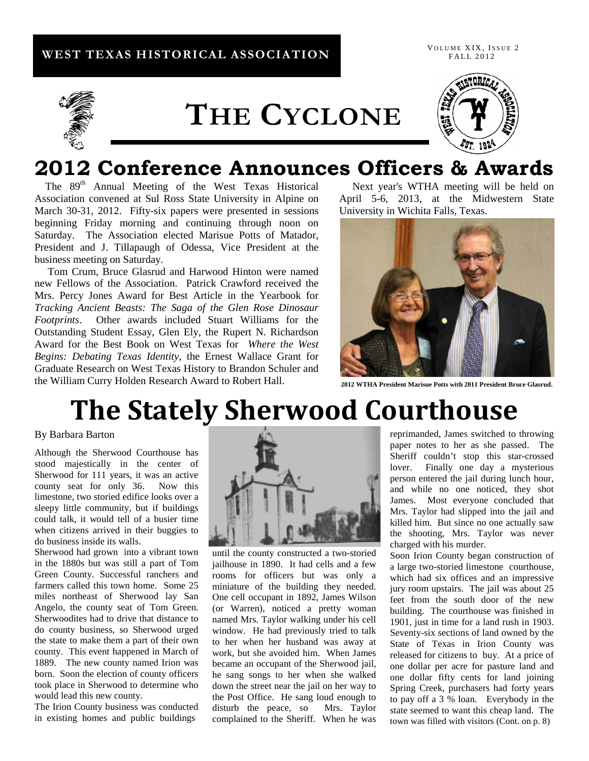### **WEST TEXAS HISTORICAL ASSOCIATION**

VOLUME XIX, ISSUE 2 FALL 2012



## **THE CYCLONE**



## 2012 Conference Announces Officers & Awards<br>The 89<sup>th</sup> Annual Meeting of the West Texas Historical Next year's WTHA meeting will be held on

Association convened at Sul Ross State University in Alpine on March 30-31, 2012. Fifty-six papers were presented in sessions beginning Friday morning and continuing through noon on Saturday. The Association elected Marisue Potts of Matador, President and J. Tillapaugh of Odessa, Vice President at the business meeting on Saturday.

 Tom Crum, Bruce Glasrud and Harwood Hinton were named new Fellows of the Association. Patrick Crawford received the Mrs. Percy Jones Award for Best Article in the Yearbook for *Tracking Ancient Beasts: The Saga of the Glen Rose Dinosaur Footprints*. Other awards included Stuart Williams for the Outstanding Student Essay, Glen Ely, the Rupert N. Richardson Award for the Best Book on West Texas for *Where the West Begins: Debating Texas Identity*, the Ernest Wallace Grant for Graduate Research on West Texas History to Brandon Schuler and the William Curry Holden Research Award to Robert Hall.

 Next year's WTHA meeting will be held on April 5-6, 2013, at the Midwestern State University in Wichita Falls, Texas.



**2012 WTHA President Marisue Potts with 2011 President Bruce Glasrud.**

## **The Stately Sherwood Courthouse**

#### By Barbara Barton

Although the Sherwood Courthouse has stood majestically in the center of Sherwood for 111 years, it was an active county seat for only 36. Now this limestone, two storied edifice looks over a sleepy little community, but if buildings could talk, it would tell of a busier time when citizens arrived in their buggies to do business inside its walls.

Sherwood had grown into a vibrant town in the 1880s but was still a part of Tom Green County. Successful ranchers and farmers called this town home. Some 25 miles northeast of Sherwood lay San Angelo, the county seat of Tom Green. Sherwoodites had to drive that distance to do county business, so Sherwood urged the state to make them a part of their own county. This event happened in March of 1889. The new county named Irion was born. Soon the election of county officers took place in Sherwood to determine who would lead this new county.

The Irion County business was conducted in existing homes and public buildings



until the county constructed a two-storied jailhouse in 1890. It had cells and a few rooms for officers but was only a miniature of the building they needed. One cell occupant in 1892, James Wilson (or Warren), noticed a pretty woman named Mrs. Taylor walking under his cell window. He had previously tried to talk to her when her husband was away at work, but she avoided him. When James became an occupant of the Sherwood jail, he sang songs to her when she walked down the street near the jail on her way to the Post Office. He sang loud enough to disturb the peace, so Mrs. Taylor complained to the Sheriff. When he was reprimanded, James switched to throwing paper notes to her as she passed. The Sheriff couldn't stop this star-crossed lover. Finally one day a mysterious person entered the jail during lunch hour, and while no one noticed, they shot James. Most everyone concluded that Mrs. Taylor had slipped into the jail and killed him. But since no one actually saw the shooting, Mrs. Taylor was never charged with his murder.

Soon Irion County began construction of a large two-storied limestone courthouse, which had six offices and an impressive jury room upstairs. The jail was about 25 feet from the south door of the new building. The courthouse was finished in 1901, just in time for a land rush in 1903. Seventy-six sections of land owned by the State of Texas in Irion County was released for citizens to buy. At a price of one dollar per acre for pasture land and one dollar fifty cents for land joining Spring Creek, purchasers had forty years to pay off a 3 % loan. Everybody in the state seemed to want this cheap land. The town was filled with visitors (Cont. on p. 8)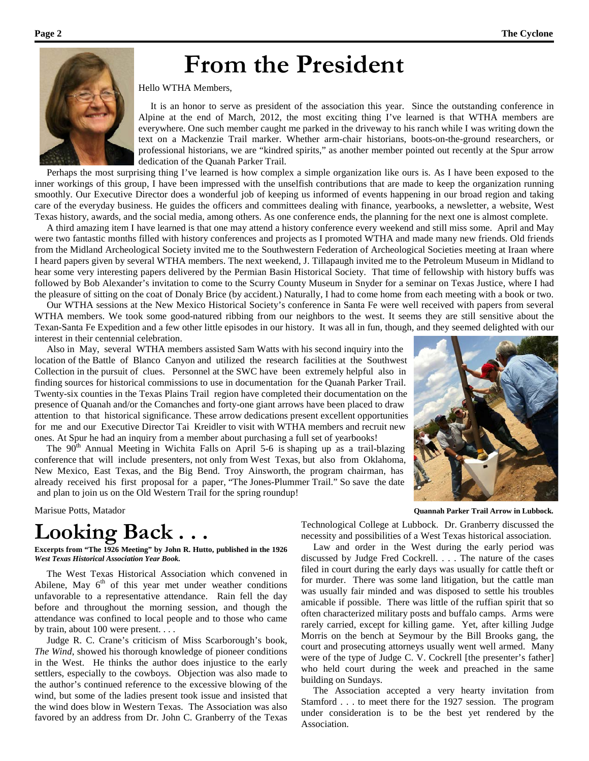## **From the President**



Hello WTHA Members,

 It is an honor to serve as president of the association this year. Since the outstanding conference in Alpine at the end of March, 2012, the most exciting thing I've learned is that WTHA members are everywhere. One such member caught me parked in the driveway to his ranch while I was writing down the text on a Mackenzie Trail marker. Whether arm-chair historians, boots-on-the-ground researchers, or professional historians, we are "kindred spirits," as another member pointed out recently at the Spur arrow dedication of the Quanah Parker Trail.

 Perhaps the most surprising thing I've learned is how complex a simple organization like ours is. As I have been exposed to the inner workings of this group, I have been impressed with the unselfish contributions that are made to keep the organization running smoothly. Our Executive Director does a wonderful job of keeping us informed of events happening in our broad region and taking care of the everyday business. He guides the officers and committees dealing with finance, yearbooks, a newsletter, a website, West Texas history, awards, and the social media, among others. As one conference ends, the planning for the next one is almost complete.

 A third amazing item I have learned is that one may attend a history conference every weekend and still miss some. April and May were two fantastic months filled with history conferences and projects as I promoted WTHA and made many new friends. Old friends from the Midland Archeological Society invited me to the Southwestern Federation of Archeological Societies meeting at Iraan where I heard papers given by several WTHA members. The next weekend, J. Tillapaugh invited me to the Petroleum Museum in Midland to hear some very interesting papers delivered by the Permian Basin Historical Society. That time of fellowship with history buffs was followed by Bob Alexander's invitation to come to the Scurry County Museum in Snyder for a seminar on Texas Justice, where I had the pleasure of sitting on the coat of Donaly Brice (by accident.) Naturally, I had to come home from each meeting with a book or two.

 Our WTHA sessions at the New Mexico Historical Society's conference in Santa Fe were well received with papers from several WTHA members. We took some good-natured ribbing from our neighbors to the west. It seems they are still sensitive about the Texan-Santa Fe Expedition and a few other little episodes in our history. It was all in fun, though, and they seemed delighted with our interest in their centennial celebration.

 Also in May, several WTHA members assisted Sam Watts with his second inquiry into the location of the Battle of Blanco Canyon and utilized the research facilities at the Southwest Collection in the pursuit of clues. Personnel at the SWC have been extremely helpful also in finding sources for historical commissions to use in documentation for the Quanah Parker Trail. Twenty-six counties in the Texas Plains Trail region have completed their documentation on the presence of Quanah and/or the Comanches and forty-one giant arrows have been placed to draw attention to that historical significance. These arrow dedications present excellent opportunities for me and our Executive Director Tai Kreidler to visit with WTHA members and recruit new ones. At Spur he had an inquiry from a member about purchasing a full set of yearbooks!

The  $90<sup>th</sup>$  Annual Meeting in Wichita Falls on April 5-6 is shaping up as a trail-blazing conference that will include presenters, not only from West Texas, but also from Oklahoma, New Mexico, East Texas, and the Big Bend. Troy Ainsworth, the program chairman, has already received his first proposal for a paper, "The Jones-Plummer Trail." So save the date and plan to join us on the Old Western Trail for the spring roundup!

### **Looking Back . . .**

**Excerpts from "The 1926 Meeting" by John R. Hutto, published in the 1926**  *West Texas Historical Association Year Book.*

 The West Texas Historical Association which convened in Abilene, May  $6<sup>th</sup>$  of this year met under weather conditions unfavorable to a representative attendance. Rain fell the day before and throughout the morning session, and though the attendance was confined to local people and to those who came by train, about 100 were present. . . .

 Judge R. C. Crane's criticism of Miss Scarborough's book, *The Wind*, showed his thorough knowledge of pioneer conditions in the West. He thinks the author does injustice to the early settlers, especially to the cowboys. Objection was also made to the author's continued reference to the excessive blowing of the wind, but some of the ladies present took issue and insisted that the wind does blow in Western Texas. The Association was also favored by an address from Dr. John C. Granberry of the Texas



Marisue Potts, Matador **Quannah Parker Trail Arrow in Lubbock.**

Technological College at Lubbock. Dr. Granberry discussed the necessity and possibilities of a West Texas historical association.

 Law and order in the West during the early period was discussed by Judge Fred Cockrell. . . . The nature of the cases filed in court during the early days was usually for cattle theft or for murder. There was some land litigation, but the cattle man was usually fair minded and was disposed to settle his troubles amicable if possible. There was little of the ruffian spirit that so often characterized military posts and buffalo camps. Arms were rarely carried, except for killing game. Yet, after killing Judge Morris on the bench at Seymour by the Bill Brooks gang, the court and prosecuting attorneys usually went well armed. Many were of the type of Judge C. V. Cockrell [the presenter's father] who held court during the week and preached in the same building on Sundays.

 The Association accepted a very hearty invitation from Stamford . . . to meet there for the 1927 session. The program under consideration is to be the best yet rendered by the Association.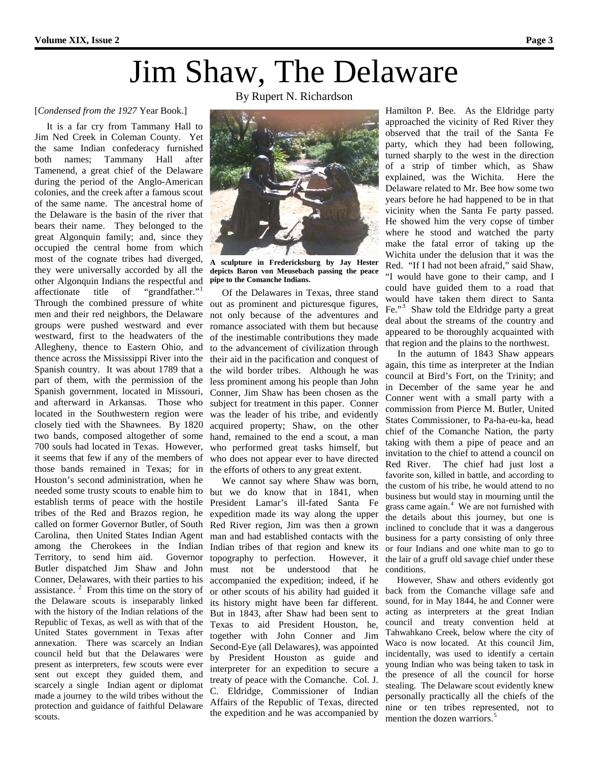## Jim Shaw, The Delaware

#### [*Condensed from the 1927* Year Book.]

 It is a far cry from Tammany Hall to Jim Ned Creek in Coleman County. Yet the same Indian confederacy furnished both names; Tammany Hall after Tamenend, a great chief of the Delaware during the period of the Anglo-American colonies, and the creek after a famous scout of the same name. The ancestral home of the Delaware is the basin of the river that bears their name. They belonged to the great Algonquin family; and, since they occupied the central home from which most of the cognate tribes had diverged, other Algonquin Indians the respectful and affectionate title of "grandfather."<sup>1</sup> Through the combined pressure of white men and their red neighbors, the Delaware groups were pushed westward and ever westward, first to the headwaters of the Allegheny, thence to Eastern Ohio, and thence across the Mississippi River into the Spanish country. It was about 1789 that a part of them, with the permission of the Spanish government, located in Missouri, and afterward in Arkansas. Those who located in the Southwestern region were closely tied with the Shawnees. By 1820 two bands, composed altogether of some 700 souls had located in Texas. However, it seems that few if any of the members of those bands remained in Texas; for in Houston's second administration, when he needed some trusty scouts to enable him to establish terms of peace with the hostile tribes of the Red and Brazos region, he called on former Governor Butler, of South Carolina, then United States Indian Agent among the Cherokees in the Indian Territory, to send him aid. Governor Butler dispatched Jim Shaw and John Conner, Delawares, with their parties to his assistance.  $2$  From this time on the story of the Delaware scouts is inseparably linked with the history of the Indian relations of the Republic of Texas, as well as with that of the United States government in Texas after annexation. There was scarcely an Indian council held but that the Delawares were present as interpreters, few scouts were ever sent out except they guided them, and scarcely a single Indian agent or diplomat made a journey to the wild tribes without the protection and guidance of faithful Delaware scouts.

By Rupert N. Richardson



they were universally accorded by all the **depicts Baron von Meusebach passing the peace A sculpture in Fredericksburg by Jay Hester pipe to the Comanche Indians.**

 Of the Delawares in Texas, three stand out as prominent and picturesque figures, not only because of the adventures and romance associated with them but because of the inestimable contributions they made to the advancement of civilization through their aid in the pacification and conquest of the wild border tribes. Although he was less prominent among his people than John Conner, Jim Shaw has been chosen as the subject for treatment in this paper. Conner was the leader of his tribe, and evidently acquired property; Shaw, on the other hand, remained to the end a scout, a man who performed great tasks himself, but who does not appear ever to have directed the efforts of others to any great extent.

 We cannot say where Shaw was born, but we do know that in 1841, when President Lamar's ill-fated Santa Fe expedition made its way along the upper Red River region, Jim was then a grown man and had established contacts with the Indian tribes of that region and knew its topography to perfection. However, it must not be understood that he accompanied the expedition; indeed, if he or other scouts of his ability had guided it its history might have been far different. But in 1843, after Shaw had been sent to Texas to aid President Houston, he, together with John Conner and Jim Second-Eye (all Delawares), was appointed by President Houston as guide and interpreter for an expedition to secure a treaty of peace with the Comanche. Col. J. C. Eldridge, Commissioner of Indian Affairs of the Republic of Texas, directed the expedition and he was accompanied by

Hamilton P. Bee. As the Eldridge party approached the vicinity of Red River they observed that the trail of the Santa Fe party, which they had been following, turned sharply to the west in the direction of a strip of timber which, as Shaw explained, was the Wichita. Here the Delaware related to Mr. Bee how some two years before he had happened to be in that vicinity when the Santa Fe party passed. He showed him the very copse of timber where he stood and watched the party make the fatal error of taking up the Wichita under the delusion that it was the Red. "If I had not been afraid," said Shaw, "I would have gone to their camp, and I could have guided them to a road that would have taken them direct to Santa Fe."<sup>3</sup> Shaw told the Eldridge party a great deal about the streams of the country and appeared to be thoroughly acquainted with that region and the plains to the northwest.

 In the autumn of 1843 Shaw appears again, this time as interpreter at the Indian council at Bird's Fort, on the Trinity; and in December of the same year he and Conner went with a small party with a commission from Pierce M. Butler, United States Commissioner, to Pa-ha-eu-ka, head chief of the Comanche Nation, the party taking with them a pipe of peace and an invitation to the chief to attend a council on Red River. The chief had just lost a favorite son, killed in battle, and according to the custom of his tribe, he would attend to no business but would stay in mourning until the grass came again.<sup>4</sup> We are not furnished with the details about this journey, but one is inclined to conclude that it was a dangerous business for a party consisting of only three or four Indians and one white man to go to the lair of a gruff old savage chief under these conditions.

 However, Shaw and others evidently got back from the Comanche village safe and sound, for in May 1844, he and Conner were acting as interpreters at the great Indian council and treaty convention held at Tahwahkano Creek, below where the city of Waco is now located. At this council Jim, incidentally, was used to identify a certain young Indian who was being taken to task in the presence of all the council for horse stealing. The Delaware scout evidently knew personally practically all the chiefs of the nine or ten tribes represented, not to mention the dozen warriors. 5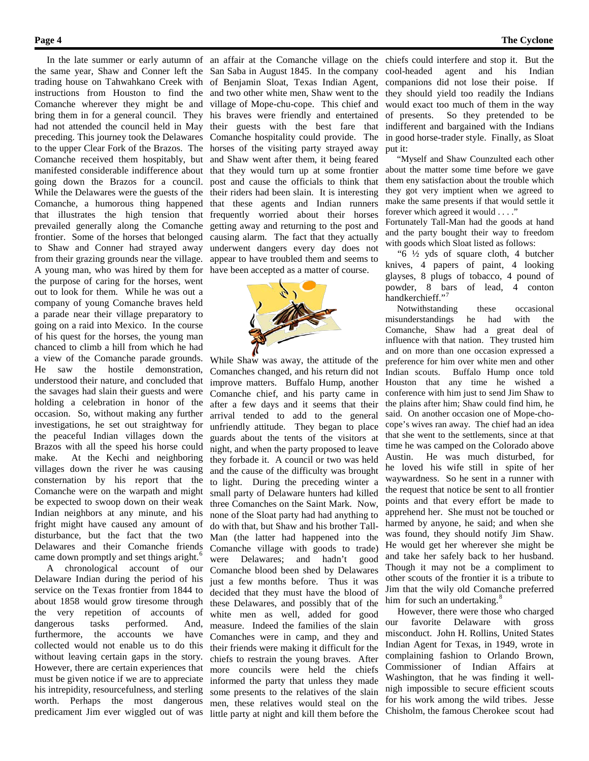the same year, Shaw and Conner left the San Saba in August 1845. In the company trading house on Tahwahkano Creek with of Benjamin Sloat, Texas Indian Agent, instructions from Houston to find the and two other white men, Shaw went to the Comanche wherever they might be and bring them in for a general council. They had not attended the council held in May preceding. This journey took the Delawares to the upper Clear Fork of the Brazos. The Comanche received them hospitably, but manifested considerable indifference about going down the Brazos for a council. While the Delawares were the guests of the their riders had been slain. It is interesting Comanche, a humorous thing happened that illustrates the high tension that prevailed generally along the Comanche frontier. Some of the horses that belonged to Shaw and Conner had strayed away from their grazing grounds near the village. A young man, who was hired by them for have been accepted as a matter of course. the purpose of caring for the horses, went out to look for them. While he was out a company of young Comanche braves held a parade near their village preparatory to going on a raid into Mexico. In the course of his quest for the horses, the young man chanced to climb a hill from which he had a view of the Comanche parade grounds. He saw the hostile demonstration, understood their nature, and concluded that the savages had slain their guests and were holding a celebration in honor of the occasion. So, without making any further investigations, he set out straightway for the peaceful Indian villages down the Brazos with all the speed his horse could make. At the Kechi and neighboring villages down the river he was causing consternation by his report that the Comanche were on the warpath and might be expected to swoop down on their weak Indian neighbors at any minute, and his fright might have caused any amount of disturbance, but the fact that the two Delawares and their Comanche friends came down promptly and set things aright.<sup>6</sup>

 A chronological account of our Delaware Indian during the period of his service on the Texas frontier from 1844 to about 1858 would grow tiresome through the very repetition of accounts of dangerous tasks performed. And, furthermore, the accounts we have collected would not enable us to do this without leaving certain gaps in the story. However, there are certain experiences that must be given notice if we are to appreciate his intrepidity, resourcefulness, and sterling worth. Perhaps the most dangerous

 In the late summer or early autumn of an affair at the Comanche village on the village of Mope-chu-cope. This chief and his braves were friendly and entertained their guests with the best fare that Comanche hospitality could provide. The horses of the visiting party strayed away and Shaw went after them, it being feared that they would turn up at some frontier post and cause the officials to think that that these agents and Indian runners frequently worried about their horses getting away and returning to the post and causing alarm. The fact that they actually underwent dangers every day does not appear to have troubled them and seems to



predicament Jim ever wiggled out of was little party at night and kill them before the While Shaw was away, the attitude of the Comanches changed, and his return did not improve matters. Buffalo Hump, another Comanche chief, and his party came in after a few days and it seems that their arrival tended to add to the general unfriendly attitude. They began to place guards about the tents of the visitors at night, and when the party proposed to leave they forbade it. A council or two was held and the cause of the difficulty was brought to light. During the preceding winter a small party of Delaware hunters had killed three Comanches on the Saint Mark. Now, none of the Sloat party had had anything to do with that, but Shaw and his brother Tall-Man (the latter had happened into the Comanche village with goods to trade) were Delawares; and hadn't good Comanche blood been shed by Delawares just a few months before. Thus it was decided that they must have the blood of these Delawares, and possibly that of the white men as well, added for good measure. Indeed the families of the slain Comanches were in camp, and they and their friends were making it difficult for the chiefs to restrain the young braves. After more councils were held the chiefs informed the party that unless they made some presents to the relatives of the slain men, these relatives would steal on the

chiefs could interfere and stop it. But the cool-headed agent and his Indian companions did not lose their poise. If they should yield too readily the Indians would exact too much of them in the way of presents. So they pretended to be indifferent and bargained with the Indians in good horse-trader style. Finally, as Sloat put it:

 "Myself and Shaw Counzulted each other about the matter some time before we gave them eny satisfaction about the trouble which they got very imptient when we agreed to make the same presents if that would settle it forever which agreed it would . . . ." Fortunately Tall-Man had the goods at hand and the party bought their way to freedom with goods which Sloat listed as follows: " $6\frac{1}{2}$  yds of square cloth, 4 butcher

knives, 4 papers of paint, 4 looking glayses, 8 plugs of tobacco, 4 pound of powder, 8 bars of lead, 4 conton handkerchieff."<sup>7</sup>

 Notwithstanding these occasional misunderstandings he had with the Comanche, Shaw had a great deal of influence with that nation. They trusted him and on more than one occasion expressed a preference for him over white men and other Indian scouts. Buffalo Hump once told Houston that any time he wished a conference with him just to send Jim Shaw to the plains after him; Shaw could find him, he said. On another occasion one of Mope-chocope's wives ran away. The chief had an idea that she went to the settlements, since at that time he was camped on the Colorado above Austin. He was much disturbed, for he loved his wife still in spite of her waywardness. So he sent in a runner with the request that notice be sent to all frontier points and that every effort be made to apprehend her. She must not be touched or harmed by anyone, he said; and when she was found, they should notify Jim Shaw. He would get her wherever she might be and take her safely back to her husband. Though it may not be a compliment to other scouts of the frontier it is a tribute to Jim that the wily old Comanche preferred him for such an undertaking.<sup>8</sup>

 However, there were those who charged our favorite Delaware with gross misconduct. John H. Rollins, United States Indian Agent for Texas, in 1949, wrote in complaining fashion to Orlando Brown, Commissioner of Indian Affairs at Washington, that he was finding it wellnigh impossible to secure efficient scouts for his work among the wild tribes. Jesse Chisholm, the famous Cherokee scout had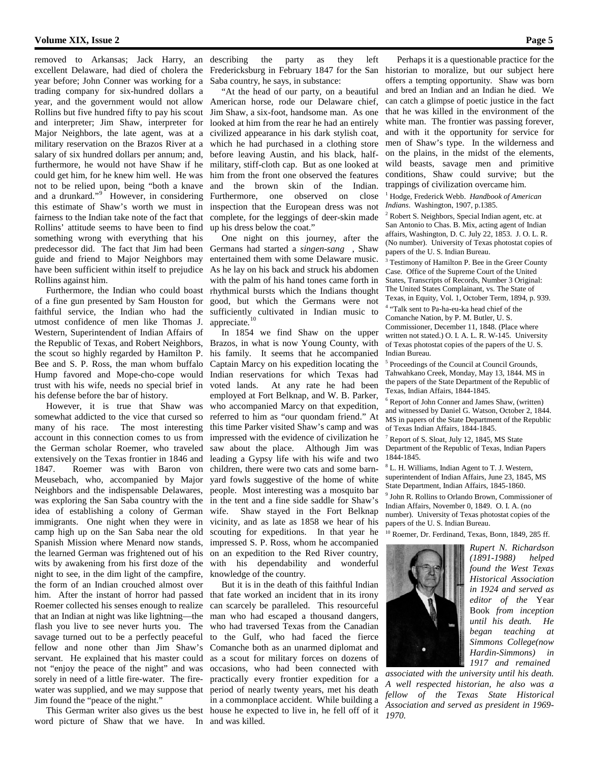removed to Arkansas; Jack Harry, an excellent Delaware, had died of cholera the year before; John Conner was working for a trading company for six-hundred dollars a year, and the government would not allow Rollins but five hundred fifty to pay his scout and interpreter; Jim Shaw, interpreter for Major Neighbors, the late agent, was at a military reservation on the Brazos River at a salary of six hundred dollars per annum; and, furthermore, he would not have Shaw if he could get him, for he knew him well. He was not to be relied upon, being "both a knave and a drunkard."<sup>9</sup> However, in considering this estimate of Shaw's worth we must in fairness to the Indian take note of the fact that Rollins' attitude seems to have been to find something wrong with everything that his predecessor did. The fact that Jim had been guide and friend to Major Neighbors may have been sufficient within itself to prejudice Rollins against him.

 Furthermore, the Indian who could boast of a fine gun presented by Sam Houston for faithful service, the Indian who had the utmost confidence of men like Thomas J. Western, Superintendent of Indian Affairs of the Republic of Texas, and Robert Neighbors, the scout so highly regarded by Hamilton P. Bee and S. P. Ross, the man whom buffalo Hump favored and Mope-cho-cope would trust with his wife, needs no special brief in his defense before the bar of history.

 However, it is true that Shaw was somewhat addicted to the vice that cursed so many of his race. The most interesting account in this connection comes to us from the German scholar Roemer, who traveled extensively on the Texas frontier in 1846 and 1847. Roemer was with Baron von Meusebach, who, accompanied by Major Neighbors and the indispensable Delawares, was exploring the San Saba country with the idea of establishing a colony of German immigrants. One night when they were in camp high up on the San Saba near the old Spanish Mission where Menard now stands, the learned German was frightened out of his wits by awakening from his first doze of the night to see, in the dim light of the campfire, the form of an Indian crouched almost over him. After the instant of horror had passed Roemer collected his senses enough to realize that an Indian at night was like lightning—the flash you live to see never hurts you. The savage turned out to be a perfectly peaceful fellow and none other than Jim Shaw's servant. He explained that his master could not "enjoy the peace of the night" and was sorely in need of a little fire-water. The firewater was supplied, and we may suppose that Jim found the "peace of the night."

word picture of Shaw that we have. In and was killed.

describing the party as they left Fredericksburg in February 1847 for the San Saba country, he says, in substance:

 "At the head of our party, on a beautiful American horse, rode our Delaware chief, Jim Shaw, a six-foot, handsome man. As one looked at him from the rear he had an entirely civilized appearance in his dark stylish coat, which he had purchased in a clothing store before leaving Austin, and his black, halfmilitary, stiff-cloth cap. But as one looked at him from the front one observed the features and the brown skin of the Indian. Furthermore, one observed on close inspection that the European dress was not complete, for the leggings of deer-skin made up his dress below the coat."

 One night on this journey, after the Germans had started a *singen-sang* , Shaw entertained them with some Delaware music. As he lay on his back and struck his abdomen with the palm of his hand tones came forth in rhythmical bursts which the Indians thought good, but which the Germans were not sufficiently cultivated in Indian music to appreciate.

 In 1854 we find Shaw on the upper Brazos, in what is now Young County, with his family. It seems that he accompanied Captain Marcy on his expedition locating the Indian reservations for which Texas had voted lands. At any rate he had been employed at Fort Belknap, and W. B. Parker, who accompanied Marcy on that expedition, referred to him as "our quondam friend." At this time Parker visited Shaw's camp and was impressed with the evidence of civilization he saw about the place. Although Jim was leading a Gypsy life with his wife and two children, there were two cats and some barnyard fowls suggestive of the home of white people. Most interesting was a mosquito bar in the tent and a fine side saddle for Shaw's wife. Shaw stayed in the Fort Belknap vicinity, and as late as 1858 we hear of his scouting for expeditions. In that year he impressed S. P. Ross, whom he accompanied on an expedition to the Red River country, with his dependability and wonderful knowledge of the country.

 This German writer also gives us the best house he expected to live in, he fell off of it But it is in the death of this faithful Indian that fate worked an incident that in its irony can scarcely be paralleled. This resourceful man who had escaped a thousand dangers, who had traversed Texas from the Canadian to the Gulf, who had faced the fierce Comanche both as an unarmed diplomat and as a scout for military forces on dozens of occasions, who had been connected with practically every frontier expedition for a period of nearly twenty years, met his death in a commonplace accident. While building a

 Perhaps it is a questionable practice for the historian to moralize, but our subject here offers a tempting opportunity. Shaw was born and bred an Indian and an Indian he died. We can catch a glimpse of poetic justice in the fact that he was killed in the environment of the white man. The frontier was passing forever, and with it the opportunity for service for men of Shaw's type. In the wilderness and on the plains, in the midst of the elements, wild beasts, savage men and primitive conditions, Shaw could survive; but the trappings of civilization overcame him.

<sup>1</sup> Hodge, Frederick Webb. *Handbook of American Indians*. Washington, 1907, p.1385.

<sup>2</sup> Robert S. Neighbors, Special Indian agent, etc. at San Antonio to Chas. B. Mix, acting agent of Indian affairs, Washington, D. C. July 22, 1853. J. O. L. R. (No number). University of Texas photostat copies of papers of the U. S. Indian Bureau.

Testimony of Hamilton P. Bee in the Greer County Case. Office of the Supreme Court of the United States, Transcripts of Records, Number 3 Original: The United States Complainant, vs. The State of Texas, in Equity, Vol. 1, October Term, 1894, p. 939. <sup>4</sup> "Talk sent to Pa-ha-eu-ka head chief of the Comanche Nation, by P. M. Butler, U. S. Commissioner, December 11, 1848. (Place where

written not stated.) O. I. A. L. R. W-145. University of Texas photostat copies of the papers of the U. S. Indian Bureau.

<sup>5</sup> Proceedings of the Council at Council Grounds, Tahwahkano Creek, Monday, May 13, 1844. MS in the papers of the State Department of the Republic of Texas, Indian Affairs, 1844-1845.

<sup>6</sup> Report of John Conner and James Shaw, (written) and witnessed by Daniel G. Watson, October 2, 1844. MS in papers of the State Department of the Republic of Texas Indian Affairs, 1844-1845.

<sup>7</sup> Report of S. Sloat, July 12, 1845, MS State Department of the Republic of Texas, Indian Papers 1844-1845.

<sup>8</sup> L. H. Williams, Indian Agent to T. J. Western, superintendent of Indian Affairs, June 23, 1845, MS State Department, Indian Affairs, 1845-1860.

<sup>9</sup> John R. Rollins to Orlando Brown, Commissioner of Indian Affairs, November 0, 1849. O. I. A. (no number). University of Texas photostat copies of the papers of the U. S. Indian Bureau.

<sup>10</sup> Roemer, Dr. Ferdinand, Texas, Bonn, 1849, 285 ff.



*Rupert N. Richardson (1891-1988) helped found the West Texas Historical Association in 1924 and served as editor of the* Year Book *from inception until his death. He began teaching at Simmons College(now Hardin-Simmons) in 1917 and remained* 

*associated with the university until his death. A well respected historian, he also was a fellow of the Texas State Historical Association and served as president in 1969- 1970.*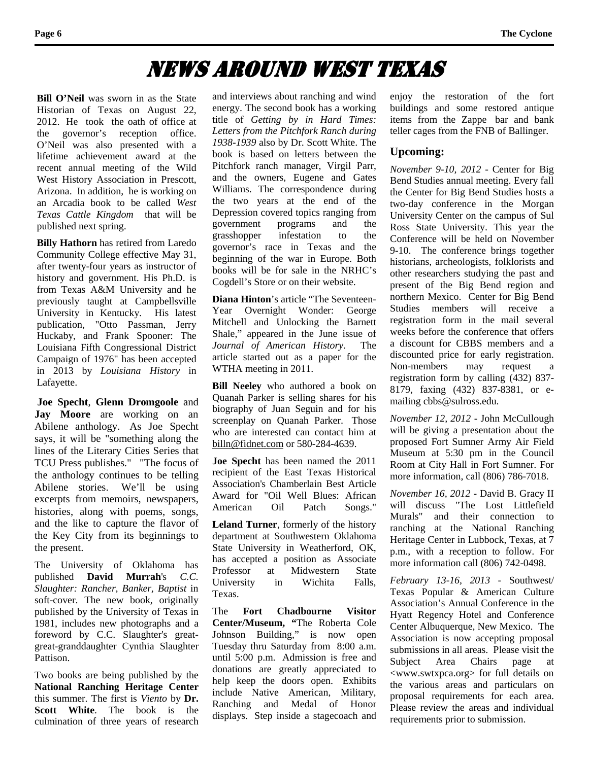### News Around West Texas

**Bill O'Neil** was sworn in as the State Historian of Texas on August 22, 2012. He took the oath of office at the governor's reception office. O'Neil was also presented with a lifetime achievement award at the recent annual meeting of the Wild West History Association in Prescott, Arizona. In addition, he is working on an Arcadia book to be called *West Texas Cattle Kingdom* that will be published next spring.

**Billy Hathorn** has retired from Laredo Community College effective May 31, after twenty-four years as instructor of history and government. His Ph.D. is from Texas A&M University and he previously taught at Campbellsville University in Kentucky. His latest publication, "Otto Passman, Jerry Huckaby, and Frank Spooner: The Louisiana Fifth Congressional District Campaign of 1976" has been accepted in 2013 by *Louisiana History* in Lafayette.

**Joe Specht**, **Glenn Dromgoole** and **Jay Moore** are working on an Abilene anthology. As Joe Specht says, it will be "something along the lines of the Literary Cities Series that TCU Press publishes." "The focus of the anthology continues to be telling Abilene stories. We'll be using excerpts from memoirs, newspapers, histories, along with poems, songs, and the like to capture the flavor of the Key City from its beginnings to the present.

The University of Oklahoma has published **David Murrah**'s *C.C. Slaughter: Rancher, Banker, Baptist* in soft-cover. The new book, originally published by the University of Texas in 1981, includes new photographs and a foreword by C.C. Slaughter's greatgreat-granddaughter Cynthia Slaughter Pattison.

Two books are being published by the **National Ranching Heritage Center** this summer. The first is *Viento* by **Dr. Scott White**. The book is the culmination of three years of research

and interviews about ranching and wind energy. The second book has a working title of *Getting by in Hard Times: Letters from the Pitchfork Ranch during 1938-1939* also by Dr. Scott White. The book is based on letters between the Pitchfork ranch manager, Virgil Parr, and the owners, Eugene and Gates Williams. The correspondence during the two years at the end of the Depression covered topics ranging from government programs and the grasshopper infestation to the governor's race in Texas and the beginning of the war in Europe. Both books will be for sale in the NRHC's Cogdell's Store or on their website.

**Diana Hinton**'s article "The Seventeen-Year Overnight Wonder: George Mitchell and Unlocking the Barnett Shale," appeared in the June issue of *Journal of American History*. The article started out as a paper for the WTHA meeting in 2011.

**Bill Neeley** who authored a book on Quanah Parker is selling shares for his biography of Juan Seguin and for his screenplay on Quanah Parker. Those who are interested can contact him at [billn@fidnet.com](mailto:billn@fidnet.com) or 580-284-4639.

**Joe Specht** has been named the 2011 recipient of the East Texas Historical Association's Chamberlain Best Article Award for "Oil Well Blues: African American Oil Patch Songs."

**Leland Turner**, formerly of the history department at Southwestern Oklahoma State University in Weatherford, OK, has accepted a position as Associate Professor at Midwestern State<br>University in Wichita Falls, University in Wichita Texas.

The **Fort Chadbourne Visitor Center/Museum, "**The Roberta Cole Johnson Building," is now open Tuesday thru Saturday from 8:00 a.m. until 5:00 p.m. Admission is free and donations are greatly appreciated to help keep the doors open. Exhibits include Native American, Military, Ranching and Medal of Honor displays. Step inside a stagecoach and

enjoy the restoration of the fort buildings and some restored antique items from the Zappe bar and bank teller cages from the FNB of Ballinger.

### **Upcoming:**

*November 9-10, 2012* - Center for Big Bend Studies annual meeting. Every fall the Center for Big Bend Studies hosts a two-day conference in the Morgan University Center on the campus of Sul Ross State University. This year the Conference will be held on November 9-10. The conference brings together historians, archeologists, folklorists and other researchers studying the past and present of the Big Bend region and northern Mexico. Center for Big Bend Studies members will receive a registration form in the mail several weeks before the conference that offers a discount for CBBS members and a discounted price for early registration. Non-members may request a registration form by calling (432) 837- 8179, faxing (432) 837-8381, or emailing cbbs@sulross.edu.

*November 12, 2012* - John McCullough will be giving a presentation about the proposed Fort Sumner Army Air Field Museum at 5:30 pm in the Council Room at City Hall in Fort Sumner. For more information, call (806) 786-7018.

*November 16, 2012* - David B. Gracy II will discuss "The Lost Littlefield Murals" and their connection to ranching at the National Ranching Heritage Center in Lubbock, Texas, at 7 p.m., with a reception to follow. For more information call (806) 742-0498.

*February 13-16, 2013* - Southwest/ Texas Popular & American Culture Association's Annual Conference in the Hyatt Regency Hotel and Conference Center Albuquerque, New Mexico. The Association is now accepting proposal submissions in all areas. Please visit the Subject Area Chairs page at <www.swtxpca.org> for full details on the various areas and particulars on proposal requirements for each area. Please review the areas and individual requirements prior to submission.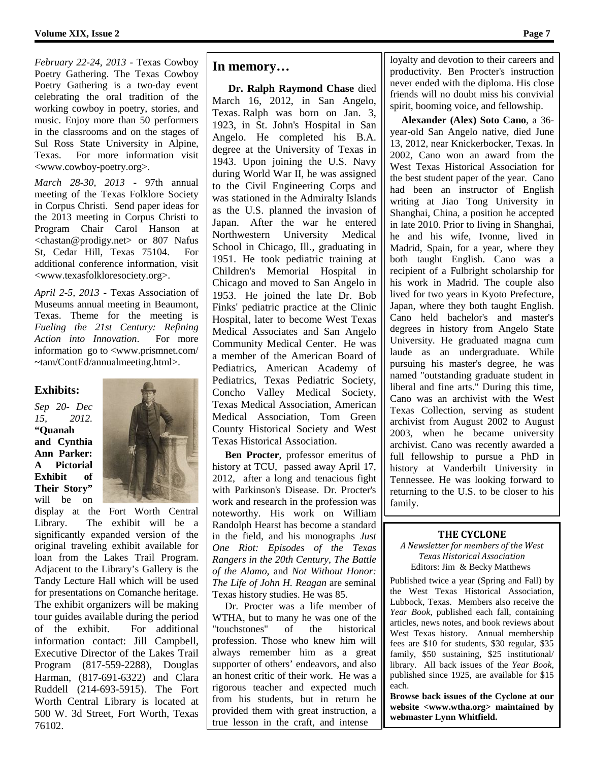*February 22-24, 2013* - Texas Cowboy Poetry Gathering. The Texas Cowboy Poetry Gathering is a two-day event celebrating the oral tradition of the working cowboy in poetry, stories, and music. Enjoy more than 50 performers in the classrooms and on the stages of Sul Ross State University in Alpine, Texas. For more information visit <www.cowboy-poetry.org>.

*March 28-30, 2013* - 97th annual meeting of the Texas Folklore Society in Corpus Christi. Send paper ideas for the 2013 meeting in Corpus Christi to Program Chair Carol Hanson at <chastan@prodigy.net> or 807 Nafus St, Cedar Hill, Texas 75104. For additional conference information, visit <www.texasfolkloresociety.org>.

*April 2-5, 2013* - Texas Association of Museums annual meeting in Beaumont, Texas. Theme for the meeting is *Fueling the 21st Century: Refining Action into Innovation*. For more information go to <www.prismnet.com/ ~tam/ContEd/annualmeeting.html>.

### **Exhibits:**

*Sep 20- Dec 15, 2012.*  **"Quanah and Cynthia Ann Parker: A Pictorial Exhibit of Their Story"**  will be on



display at the Fort Worth Central Library. The exhibit will be a significantly expanded version of the original traveling exhibit available for loan from the Lakes Trail Program. Adjacent to the Library's Gallery is the Tandy Lecture Hall which will be used for presentations on Comanche heritage. The exhibit organizers will be making tour guides available during the period of the exhibit. For additional information contact: Jill Campbell, Executive Director of the Lakes Trail Program (817-559-2288), Douglas Harman, (817-691-6322) and Clara Ruddell (214-693-5915). The Fort Worth Central Library is located at 500 W. 3d Street, Fort Worth, Texas 76102.

### **In memory…**

 **Dr. Ralph Raymond Chase** died March 16, 2012, in San Angelo, Texas. Ralph was born on Jan. 3, 1923, in St. John's Hospital in San Angelo. He completed his B.A. degree at the University of Texas in 1943. Upon joining the U.S. Navy during World War II, he was assigned to the Civil Engineering Corps and was stationed in the Admiralty Islands as the U.S. planned the invasion of Japan. After the war he entered Northwestern University Medical School in Chicago, Ill., graduating in 1951. He took pediatric training at Children's Memorial Hospital in Chicago and moved to San Angelo in 1953. He joined the late Dr. Bob Finks' pediatric practice at the Clinic Hospital, later to become West Texas Medical Associates and San Angelo Community Medical Center. He was a member of the American Board of Pediatrics, American Academy of Pediatrics, Texas Pediatric Society, Concho Valley Medical Society, Texas Medical Association, American Medical Association, Tom Green County Historical Society and West Texas Historical Association.

 **Ben Procter**, professor emeritus of history at TCU, passed away April 17, 2012, after a long and tenacious fight with Parkinson's Disease. Dr. Procter's work and research in the profession was noteworthy. His work on William Randolph Hearst has become a standard in the field, and his monographs *Just One Riot: Episodes of the Texas Rangers in the 20th Century, The Battle of the Alamo,* and *Not Without Honor: The Life of John H. Reagan* are seminal Texas history studies. He was 85.

 Dr. Procter was a life member of WTHA, but to many he was one of the "touchstones" of the historical profession. Those who knew him will always remember him as a great supporter of others' endeavors, and also an honest critic of their work. He was a rigorous teacher and expected much from his students, but in return he provided them with great instruction, a true lesson in the craft, and intense

loyalty and devotion to their careers and productivity. Ben Procter's instruction never ended with the diploma. His close friends will no doubt miss his convivial spirit, booming voice, and fellowship.

 **Alexander (Alex) Soto Cano**, a 36 year-old San Angelo native, died June 13, 2012, near Knickerbocker, Texas. In 2002, Cano won an award from the West Texas Historical Association for the best student paper of the year. Cano had been an instructor of English writing at Jiao Tong University in Shanghai, China, a position he accepted in late 2010. Prior to living in Shanghai, he and his wife, Ivonne, lived in Madrid, Spain, for a year, where they both taught English. Cano was a recipient of a Fulbright scholarship for his work in Madrid. The couple also lived for two years in Kyoto Prefecture, Japan, where they both taught English. Cano held bachelor's and master's degrees in history from Angelo State University. He graduated magna cum laude as an undergraduate. While pursuing his master's degree, he was named "outstanding graduate student in liberal and fine arts." During this time, Cano was an archivist with the West Texas Collection, serving as student archivist from August 2002 to August 2003, when he became university archivist. Cano was recently awarded a full fellowship to pursue a PhD in history at Vanderbilt University in Tennessee. He was looking forward to returning to the U.S. to be closer to his family.

### **THE CYCLONE**

*A Newsletter for members of the West Texas Historical Association* Editors: Jim & Becky Matthews

Published twice a year (Spring and Fall) by the West Texas Historical Association, Lubbock, Texas. Members also receive the *Year Book*, published each fall, containing articles, news notes, and book reviews about West Texas history. Annual membership fees are \$10 for students, \$30 regular, \$35 family, \$50 sustaining, \$25 institutional/ library. All back issues of the *Year Book*, published since 1925, are available for \$15 each.

**Browse back issues of the Cyclone at our website <www.wtha.org> maintained by webmaster Lynn Whitfield.**